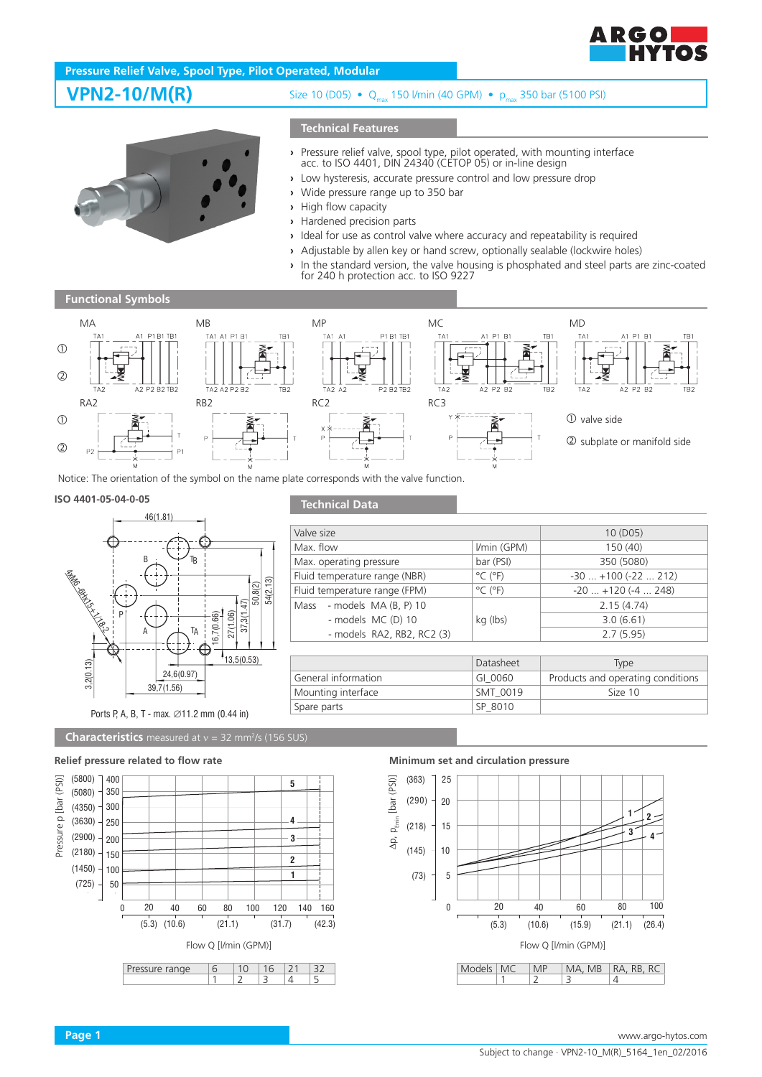

# **Pressure Relief Valve, Spool Type, Pilot Operated, Modular**

**VPN2-10/M(R)** Size 10 (D05) • Q<sub>max</sub> 150 l/min (40 GPM) • p<sub>max</sub> 350 bar (5100 PSI)

## **Technical Features**

- 
- **›** Pressure relief valve, spool type, pilot operated, with mounting interface acc. to ISO 4401, DIN 24340 (CETOP 05) or in-line design
- **›** Low hysteresis, accurate pressure control and low pressure drop
- **›** Wide pressure range up to 350 bar
- **›** High flow capacity
- **›** Hardened precision parts
- **›** Ideal for use as control valve where accuracy and repeatability is required
- **›** Adjustable by allen key or hand screw, optionally sealable (lockwire holes)
- **›** In the standard version, the valve housing is phosphated and steel parts are zinc-coated for 240 h protection acc. to ISO 9227





Mass - models MA (B, P) 10

Spare parts Spare Spare Spare Spare Spare Spare Spare Spare Spare Spare Spare Spare Spare Spare Spare Spare Sp

# **Technical Data ISO 4401-05-04-0-05**



# Ports P, A, B, T - max. ∅11.2 mm (0.44 in)

**Characteristics** measured at  $v = 32$  mm<sup>2</sup>/s (156 SUS)

### **Relief pressure related to flow rate Minimum set and circulation pressure**



Mounting interface Size 10

Valve size 10 (D05) Max. flow 150 (40) 150 (40) Max. operating pressure bar (PSI) 350 (5080) Fluid temperature range (NBR)  $\degree$ C ( $\degree$ F) -30 ... +100 (-22 ... 212) Fluid temperature range (FPM)  $\degree$ C (°F) -20 ... +120 (-4 ... 248)

kg (Ibs)

General information GI\_0060 Products and operating conditions

- models MC (D) 10  $\vert$  kg (lbs) 3.0 (6.61) - models RA2, RB2, RC2 (3) 2.7 (5.95)



Datasheet Type

2.15 (4.74)